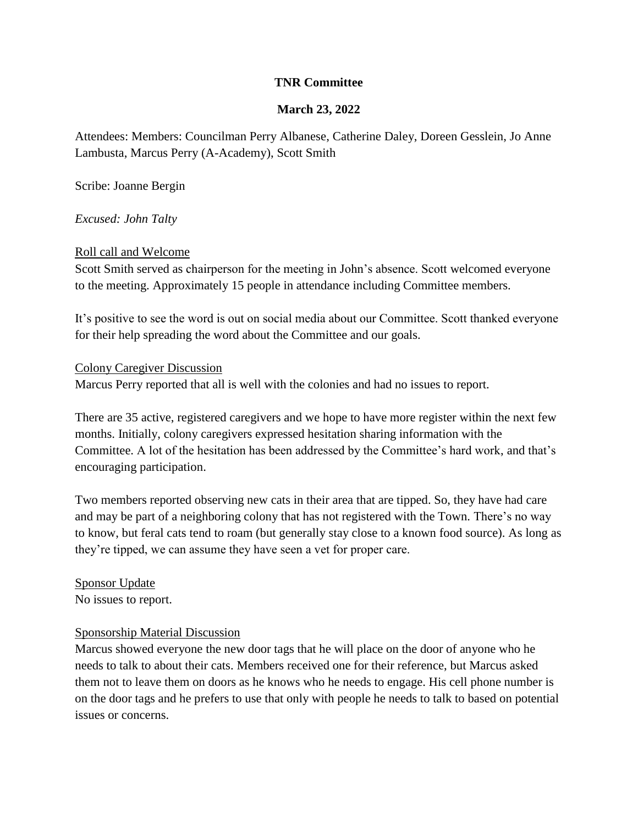# **TNR Committee**

# **March 23, 2022**

Attendees: Members: Councilman Perry Albanese, Catherine Daley, Doreen Gesslein, Jo Anne Lambusta, Marcus Perry (A-Academy), Scott Smith

Scribe: Joanne Bergin

*Excused: John Talty*

## Roll call and Welcome

Scott Smith served as chairperson for the meeting in John's absence. Scott welcomed everyone to the meeting. Approximately 15 people in attendance including Committee members.

It's positive to see the word is out on social media about our Committee. Scott thanked everyone for their help spreading the word about the Committee and our goals.

#### Colony Caregiver Discussion

Marcus Perry reported that all is well with the colonies and had no issues to report.

There are 35 active, registered caregivers and we hope to have more register within the next few months. Initially, colony caregivers expressed hesitation sharing information with the Committee. A lot of the hesitation has been addressed by the Committee's hard work, and that's encouraging participation.

Two members reported observing new cats in their area that are tipped. So, they have had care and may be part of a neighboring colony that has not registered with the Town. There's no way to know, but feral cats tend to roam (but generally stay close to a known food source). As long as they're tipped, we can assume they have seen a vet for proper care.

Sponsor Update No issues to report.

# Sponsorship Material Discussion

Marcus showed everyone the new door tags that he will place on the door of anyone who he needs to talk to about their cats. Members received one for their reference, but Marcus asked them not to leave them on doors as he knows who he needs to engage. His cell phone number is on the door tags and he prefers to use that only with people he needs to talk to based on potential issues or concerns.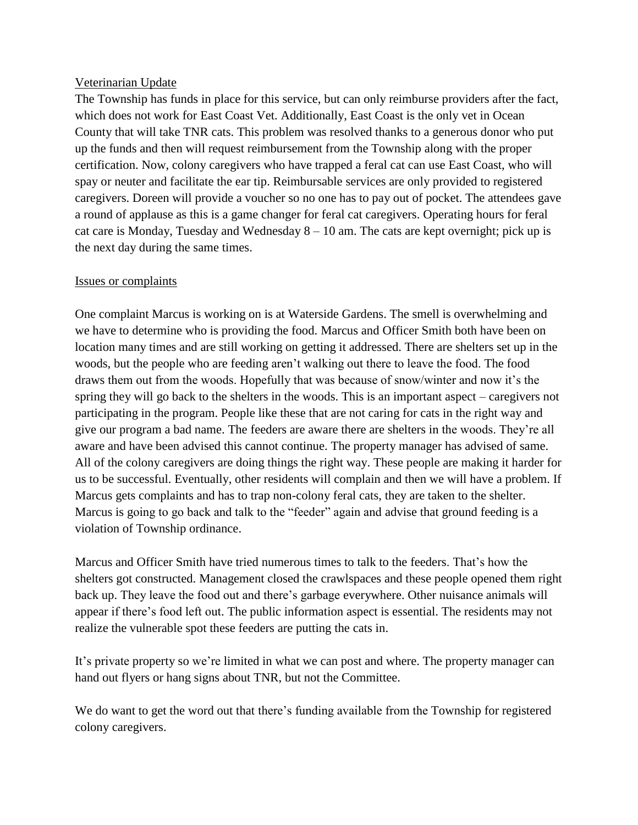## Veterinarian Update

The Township has funds in place for this service, but can only reimburse providers after the fact, which does not work for East Coast Vet. Additionally, East Coast is the only vet in Ocean County that will take TNR cats. This problem was resolved thanks to a generous donor who put up the funds and then will request reimbursement from the Township along with the proper certification. Now, colony caregivers who have trapped a feral cat can use East Coast, who will spay or neuter and facilitate the ear tip. Reimbursable services are only provided to registered caregivers. Doreen will provide a voucher so no one has to pay out of pocket. The attendees gave a round of applause as this is a game changer for feral cat caregivers. Operating hours for feral cat care is Monday, Tuesday and Wednesday  $8 - 10$  am. The cats are kept overnight; pick up is the next day during the same times.

## Issues or complaints

One complaint Marcus is working on is at Waterside Gardens. The smell is overwhelming and we have to determine who is providing the food. Marcus and Officer Smith both have been on location many times and are still working on getting it addressed. There are shelters set up in the woods, but the people who are feeding aren't walking out there to leave the food. The food draws them out from the woods. Hopefully that was because of snow/winter and now it's the spring they will go back to the shelters in the woods. This is an important aspect – caregivers not participating in the program. People like these that are not caring for cats in the right way and give our program a bad name. The feeders are aware there are shelters in the woods. They're all aware and have been advised this cannot continue. The property manager has advised of same. All of the colony caregivers are doing things the right way. These people are making it harder for us to be successful. Eventually, other residents will complain and then we will have a problem. If Marcus gets complaints and has to trap non-colony feral cats, they are taken to the shelter. Marcus is going to go back and talk to the "feeder" again and advise that ground feeding is a violation of Township ordinance.

Marcus and Officer Smith have tried numerous times to talk to the feeders. That's how the shelters got constructed. Management closed the crawlspaces and these people opened them right back up. They leave the food out and there's garbage everywhere. Other nuisance animals will appear if there's food left out. The public information aspect is essential. The residents may not realize the vulnerable spot these feeders are putting the cats in.

It's private property so we're limited in what we can post and where. The property manager can hand out flyers or hang signs about TNR, but not the Committee.

We do want to get the word out that there's funding available from the Township for registered colony caregivers.